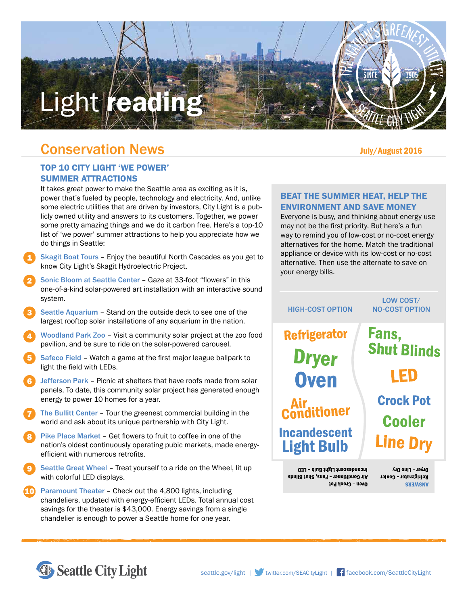# Light reading

# Conservation News

# TOP 10 CITY LIGHT 'WE POWER' SUMMER ATTRACTIONS

It takes great power to make the Seattle area as exciting as it is, power that's fueled by people, technology and electricity. And, unlike some electric utilities that are driven by investors, City Light is a publicly owned utility and answers to its customers. Together, we power some pretty amazing things and we do it carbon free. Here's a top-10 list of 'we power' summer attractions to help you appreciate how we do things in Seattle:

- Skagit Boat Tours Enjoy the beautiful North Cascades as you get to know City Light's Skagit Hydroelectric Project. 1
- Sonic Bloom at Seattle Center Gaze at 33-foot "flowers" in this one-of-a-kind solar-powered art installation with an interactive sound system. 2
- Seattle Aquarium Stand on the outside deck to see one of the largest rooftop solar installations of any aquarium in the nation. 3
- Woodland Park Zoo Visit a community solar project at the zoo food pavilion, and be sure to ride on the solar-powered carousel. 4
- Safeco Field Watch a game at the first major league ballpark to light the field with LEDs. 5
- Jefferson Park Picnic at shelters that have roofs made from solar panels. To date, this community solar project has generated enough energy to power 10 homes for a year. 6
- The Bullitt Center Tour the greenest commercial building in the world and ask about its unique partnership with City Light. 7
- Pike Place Market Get flowers to fruit to coffee in one of the nation's oldest continuously operating pubic markets, made energyefficient with numerous retrofits. 8
- Seattle Great Wheel Treat yourself to a ride on the Wheel, lit up with colorful LED displays. 9
- Paramount Theater Check out the 4,800 lights, including chandeliers, updated with energy-efficient LEDs. Total annual cost savings for the theater is \$43,000. Energy savings from a single chandelier is enough to power a Seattle home for one year. 10

### BEAT THE SUMMER HEAT, HELP THE ENVIRONMENT AND SAVE MONEY

Everyone is busy, and thinking about energy use may not be the first priority. But here's a fun way to remind you of low-cost or no-cost energy alternatives for the home. Match the traditional appliance or device with its low-cost or no-cost alternative. Then use the alternate to save on your energy bills.



presudescent Light Bulb - LED Air Conditioner - Fans, Shut Blinds Oven - Crock Pot

Dryer - Line Dry Refrigerator - Cooler **ANSWERS**